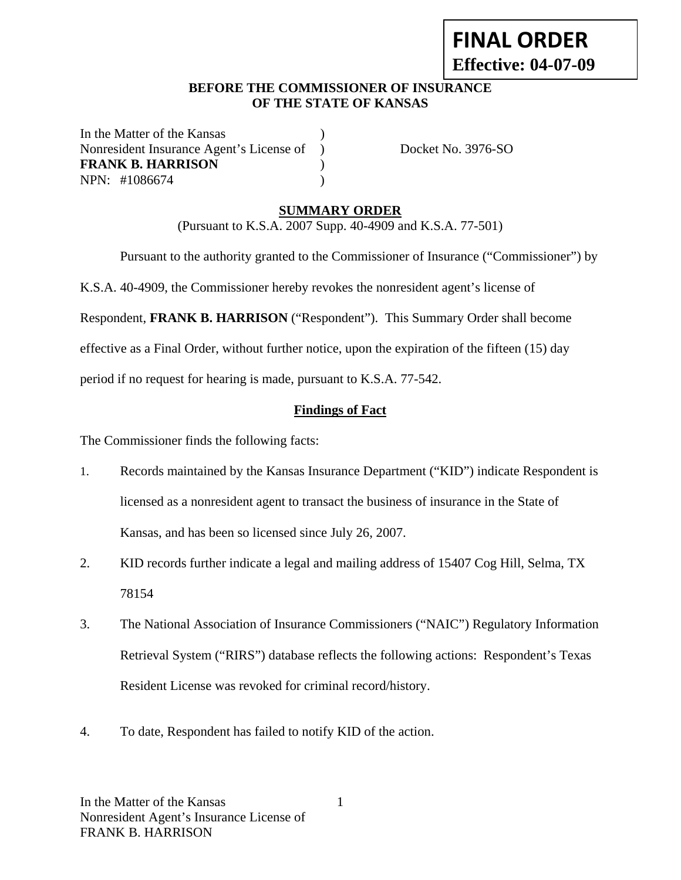# **FINAL ORDER Effective: 04-07-09**

#### **BEFORE THE COMMISSIONER OF INSURANCE OF THE STATE OF KANSAS**

In the Matter of the Kansas Nonresident Insurance Agent's License of ) Docket No. 3976-SO **FRANK B. HARRISON** ) NPN: #1086674 )

# **SUMMARY ORDER**

(Pursuant to K.S.A. 2007 Supp. 40-4909 and K.S.A. 77-501)

Pursuant to the authority granted to the Commissioner of Insurance ("Commissioner") by

K.S.A. 40-4909, the Commissioner hereby revokes the nonresident agent's license of

Respondent, **FRANK B. HARRISON** ("Respondent"). This Summary Order shall become

effective as a Final Order, without further notice, upon the expiration of the fifteen (15) day

period if no request for hearing is made, pursuant to K.S.A. 77-542.

### **Findings of Fact**

The Commissioner finds the following facts:

- 1. Records maintained by the Kansas Insurance Department ("KID") indicate Respondent is licensed as a nonresident agent to transact the business of insurance in the State of Kansas, and has been so licensed since July 26, 2007.
- 2. KID records further indicate a legal and mailing address of 15407 Cog Hill, Selma, TX 78154
- 3. The National Association of Insurance Commissioners ("NAIC") Regulatory Information Retrieval System ("RIRS") database reflects the following actions: Respondent's Texas Resident License was revoked for criminal record/history.
- 4. To date, Respondent has failed to notify KID of the action.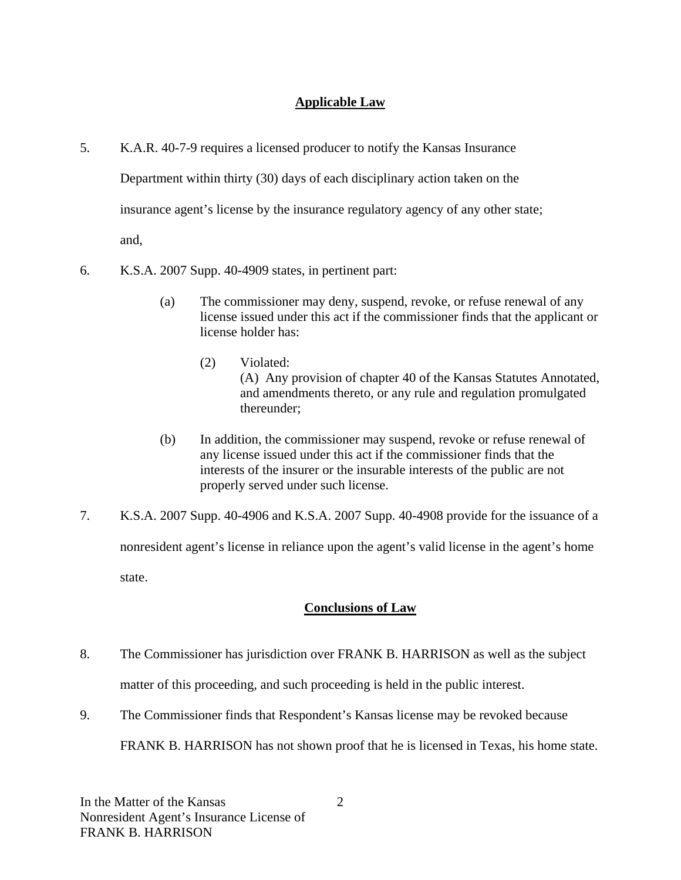# **Applicable Law**

- 5. K.A.R. 40-7-9 requires a licensed producer to notify the Kansas Insurance Department within thirty (30) days of each disciplinary action taken on the insurance agent's license by the insurance regulatory agency of any other state; and,
- 6. K.S.A. 2007 Supp. 40-4909 states, in pertinent part:
	- (a) The commissioner may deny, suspend, revoke, or refuse renewal of any license issued under this act if the commissioner finds that the applicant or license holder has:
		- (2) Violated: (A) Any provision of chapter 40 of the Kansas Statutes Annotated, and amendments thereto, or any rule and regulation promulgated thereunder;
	- (b) In addition, the commissioner may suspend, revoke or refuse renewal of any license issued under this act if the commissioner finds that the interests of the insurer or the insurable interests of the public are not properly served under such license.
- 7. K.S.A. 2007 Supp. 40-4906 and K.S.A. 2007 Supp. 40-4908 provide for the issuance of a nonresident agent's license in reliance upon the agent's valid license in the agent's home state.

# **Conclusions of Law**

- 8. The Commissioner has jurisdiction over FRANK B. HARRISON as well as the subject matter of this proceeding, and such proceeding is held in the public interest.
- 9. The Commissioner finds that Respondent's Kansas license may be revoked because

FRANK B. HARRISON has not shown proof that he is licensed in Texas, his home state.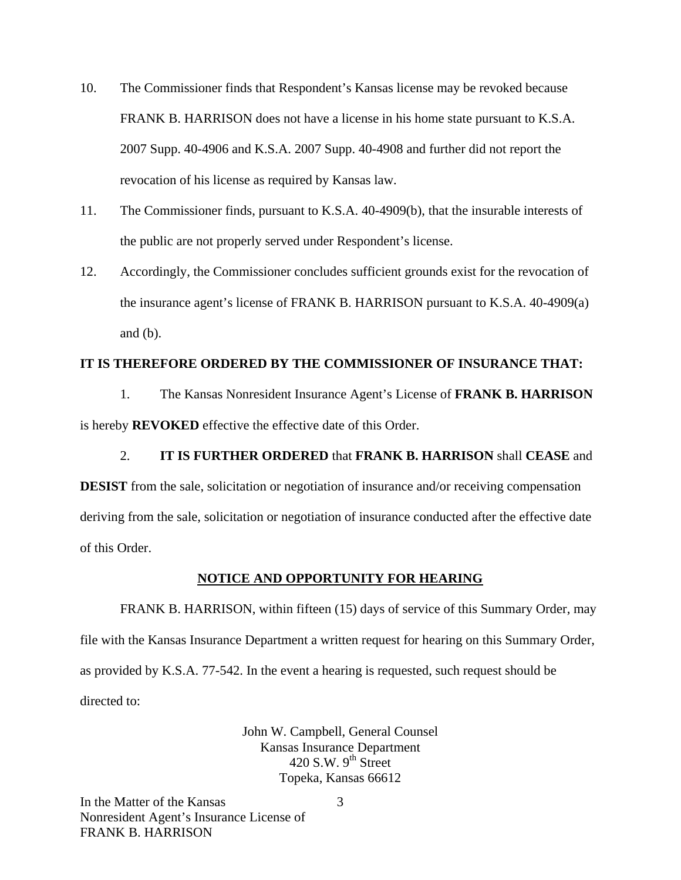- 10. The Commissioner finds that Respondent's Kansas license may be revoked because FRANK B. HARRISON does not have a license in his home state pursuant to K.S.A. 2007 Supp. 40-4906 and K.S.A. 2007 Supp. 40-4908 and further did not report the revocation of his license as required by Kansas law.
- 11. The Commissioner finds, pursuant to K.S.A. 40-4909(b), that the insurable interests of the public are not properly served under Respondent's license.
- 12. Accordingly, the Commissioner concludes sufficient grounds exist for the revocation of the insurance agent's license of FRANK B. HARRISON pursuant to K.S.A. 40-4909(a) and  $(b)$ .

#### **IT IS THEREFORE ORDERED BY THE COMMISSIONER OF INSURANCE THAT:**

1. The Kansas Nonresident Insurance Agent's License of **FRANK B. HARRISON** is hereby **REVOKED** effective the effective date of this Order.

2. **IT IS FURTHER ORDERED** that **FRANK B. HARRISON** shall **CEASE** and **DESIST** from the sale, solicitation or negotiation of insurance and/or receiving compensation deriving from the sale, solicitation or negotiation of insurance conducted after the effective date of this Order.

#### **NOTICE AND OPPORTUNITY FOR HEARING**

FRANK B. HARRISON, within fifteen (15) days of service of this Summary Order, may file with the Kansas Insurance Department a written request for hearing on this Summary Order, as provided by K.S.A. 77-542. In the event a hearing is requested, such request should be directed to:

> John W. Campbell, General Counsel Kansas Insurance Department 420 S.W.  $9<sup>th</sup>$  Street Topeka, Kansas 66612

In the Matter of the Kansas Nonresident Agent's Insurance License of FRANK B. HARRISON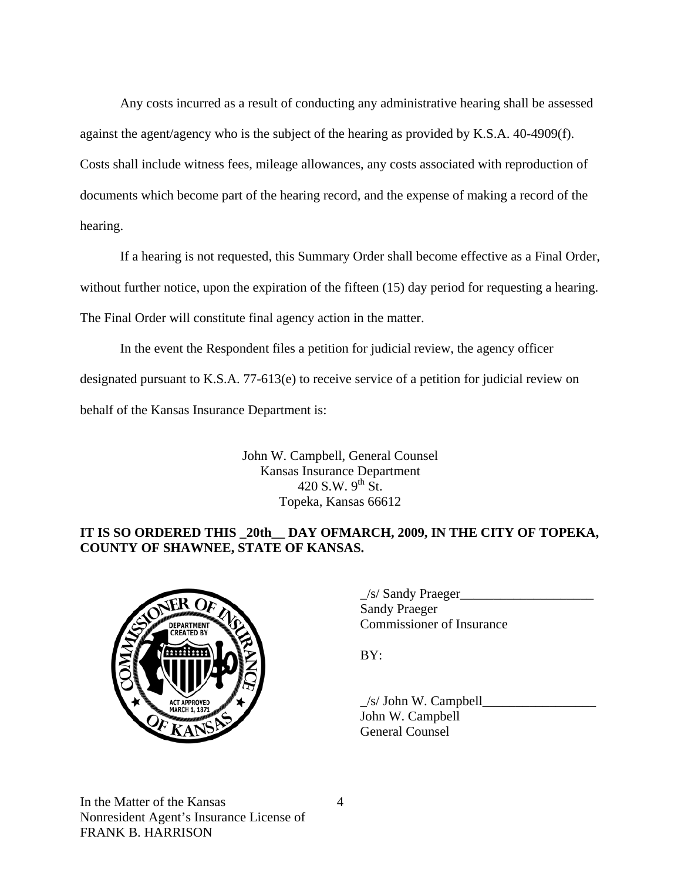Any costs incurred as a result of conducting any administrative hearing shall be assessed against the agent/agency who is the subject of the hearing as provided by K.S.A. 40-4909(f). Costs shall include witness fees, mileage allowances, any costs associated with reproduction of documents which become part of the hearing record, and the expense of making a record of the hearing.

If a hearing is not requested, this Summary Order shall become effective as a Final Order, without further notice, upon the expiration of the fifteen (15) day period for requesting a hearing. The Final Order will constitute final agency action in the matter.

In the event the Respondent files a petition for judicial review, the agency officer designated pursuant to K.S.A. 77-613(e) to receive service of a petition for judicial review on behalf of the Kansas Insurance Department is:

> John W. Campbell, General Counsel Kansas Insurance Department 420 S.W.  $9^{th}$  St. Topeka, Kansas 66612

# **IT IS SO ORDERED THIS \_20th\_\_ DAY OFMARCH, 2009, IN THE CITY OF TOPEKA, COUNTY OF SHAWNEE, STATE OF KANSAS.**



| $\sqrt{R}$ T <sub>I</sub> R $\Omega$ <sub>b</sub> | /s/ Sandy Praeger         |
|---------------------------------------------------|---------------------------|
|                                                   | Sandy Praeger             |
| <b>DEPARTMENT</b><br>CDEATEN                      | Commissioner of Insurance |

 $\angle$ s/ John W. Campbell $\Box$  John W. Campbell General Counsel

In the Matter of the Kansas Nonresident Agent's Insurance License of FRANK B. HARRISON

4